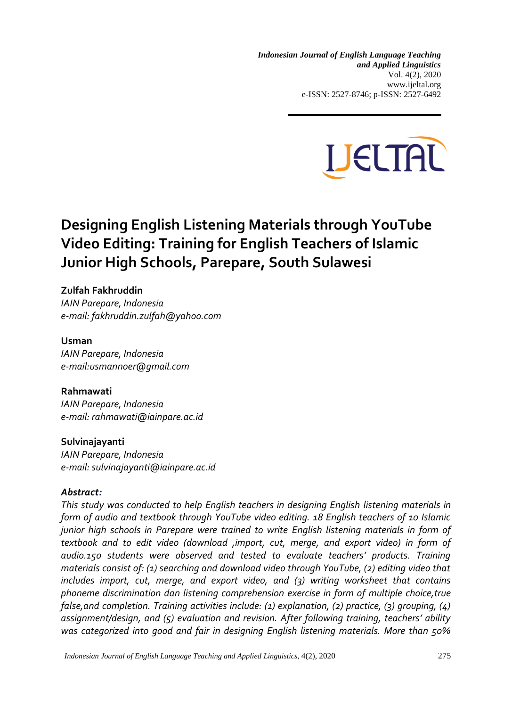*Designing English Listening Materials through YouTube Video Editing Indonesian Journal of English Language Teaching and Applied Linguistics* Vol. 4(2), 2020 www.ijeltal.org e-ISSN: 2527-8746; p-ISSN: 2527-6492



# **Designing English Listening Materials through YouTube Video Editing: Training for English Teachers of Islamic Junior High Schools, Parepare, South Sulawesi**

## **Zulfah Fakhruddin**

*IAIN Parepare, Indonesia e-mail: fakhruddin.zulfah@yahoo.com*

#### **Usman**

*IAIN Parepare, Indonesia e-mail:usmannoer@gmail.com*

#### **Rahmawati**

*IAIN Parepare, Indonesia e-mail: rahmawati@iainpare.ac.id* 

#### **Sulvinajayanti**

*IAIN Parepare, Indonesia e-mail: sulvinajayanti@iainpare.ac.id*

#### *Abstract:*

*This study was conducted to help English teachers in designing English listening materials in form of audio and textbook through YouTube video editing. 18 English teachers of 10 Islamic junior high schools in Parepare were trained to write English listening materials in form of textbook and to edit video (download ,import, cut, merge, and export video) in form of audio.150 students were observed and tested to evaluate teachers' products. Training materials consist of: (1) searching and download video through YouTube, (2) editing video that includes import, cut, merge, and export video, and (3) writing worksheet that contains phoneme discrimination dan listening comprehension exercise in form of multiple choice,true false,and completion. Training activities include: (1) explanation, (2) practice, (3) grouping, (4) assignment/design, and (5) evaluation and revision. After following training, teachers' ability was categorized into good and fair in designing English listening materials. More than 50%* 

*Indonesian Journal of English Language Teaching and Applied Linguistics,* 4(2), 2020 275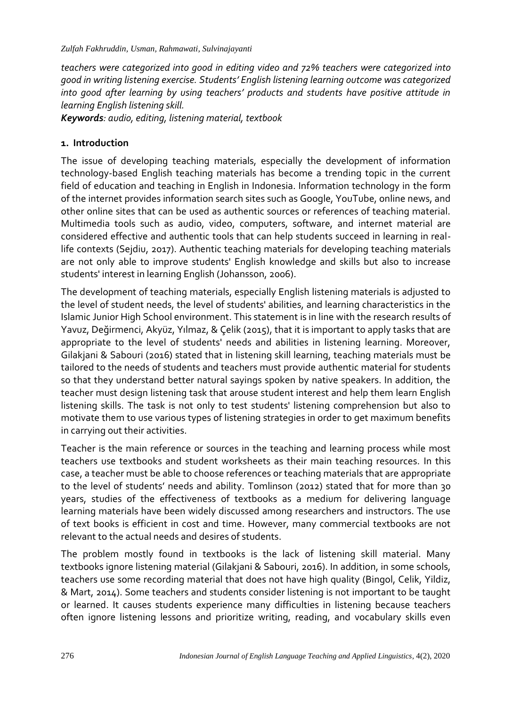*teachers were categorized into good in editing video and 72% teachers were categorized into good in writing listening exercise. Students' English listening learning outcome was categorized into good after learning by using teachers' products and students have positive attitude in learning English listening skill.*

*Keywords: audio, editing, listening material, textbook*

# **1. Introduction**

The issue of developing teaching materials, especially the development of information technology-based English teaching materials has become a trending topic in the current field of education and teaching in English in Indonesia. Information technology in the form of the internet provides information search sites such as Google, YouTube, online news, and other online sites that can be used as authentic sources or references of teaching material. Multimedia tools such as audio, video, computers, software, and internet material are considered effective and authentic tools that can help students succeed in learning in reallife contexts (Sejdiu, 2017). Authentic teaching materials for developing teaching materials are not only able to improve students' English knowledge and skills but also to increase students' interest in learning English (Johansson, 2006).

The development of teaching materials, especially English listening materials is adjusted to the level of student needs, the level of students' abilities, and learning characteristics in the Islamic Junior High School environment. This statement is in line with the research results of Yavuz, Değirmenci, Akyüz, Yılmaz, & Çelik (2015), that it is important to apply tasks that are appropriate to the level of students' needs and abilities in listening learning. Moreover, Gilakjani & Sabouri (2016) stated that in listening skill learning, teaching materials must be tailored to the needs of students and teachers must provide authentic material for students so that they understand better natural sayings spoken by native speakers. In addition, the teacher must design listening task that arouse student interest and help them learn English listening skills. The task is not only to test students' listening comprehension but also to motivate them to use various types of listening strategies in order to get maximum benefits in carrying out their activities.

Teacher is the main reference or sources in the teaching and learning process while most teachers use textbooks and student worksheets as their main teaching resources. In this case, a teacher must be able to choose references or teaching materials that are appropriate to the level of students' needs and ability. Tomlinson (2012) stated that for more than 30 years, studies of the effectiveness of textbooks as a medium for delivering language learning materials have been widely discussed among researchers and instructors. The use of text books is efficient in cost and time. However, many commercial textbooks are not relevant to the actual needs and desires of students.

The problem mostly found in textbooks is the lack of listening skill material. Many textbooks ignore listening material (Gilakjani & Sabouri, 2016). In addition, in some schools, teachers use some recording material that does not have high quality (Bingol, Celik, Yildiz, & Mart, 2014). Some teachers and students consider listening is not important to be taught or learned. It causes students experience many difficulties in listening because teachers often ignore listening lessons and prioritize writing, reading, and vocabulary skills even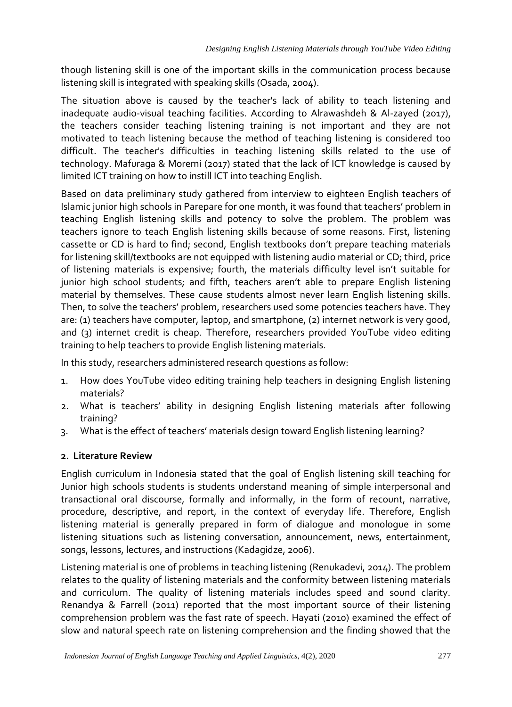though listening skill is one of the important skills in the communication process because listening skill is integrated with speaking skills (Osada, 2004).

The situation above is caused by the teacher's lack of ability to teach listening and inadequate audio-visual teaching facilities. According to Alrawashdeh & Al-zayed (2017), the teachers consider teaching listening training is not important and they are not motivated to teach listening because the method of teaching listening is considered too difficult. The teacher's difficulties in teaching listening skills related to the use of technology. Mafuraga & Moremi (2017) stated that the lack of ICT knowledge is caused by limited ICT training on how to instill ICT into teaching English.

Based on data preliminary study gathered from interview to eighteen English teachers of Islamic junior high schools in Parepare for one month, it was found that teachers' problem in teaching English listening skills and potency to solve the problem. The problem was teachers ignore to teach English listening skills because of some reasons. First, listening cassette or CD is hard to find; second, English textbooks don't prepare teaching materials for listening skill/textbooks are not equipped with listening audio material or CD; third, price of listening materials is expensive; fourth, the materials difficulty level isn't suitable for junior high school students; and fifth, teachers aren't able to prepare English listening material by themselves. These cause students almost never learn English listening skills. Then, to solve the teachers' problem, researchers used some potencies teachers have. They are: (1) teachers have computer, laptop, and smartphone, (2) internet network is very good, and (3) internet credit is cheap. Therefore, researchers provided YouTube video editing training to help teachers to provide English listening materials.

In this study, researchers administered research questions as follow:

- 1. How does YouTube video editing training help teachers in designing English listening materials?
- 2. What is teachers' ability in designing English listening materials after following training?
- 3. What is the effect of teachers' materials design toward English listening learning?

## **2. Literature Review**

English curriculum in Indonesia stated that the goal of English listening skill teaching for Junior high schools students is students understand meaning of simple interpersonal and transactional oral discourse, formally and informally, in the form of recount, narrative, procedure, descriptive, and report, in the context of everyday life. Therefore, English listening material is generally prepared in form of dialogue and monologue in some listening situations such as listening conversation, announcement, news, entertainment, songs, lessons, lectures, and instructions (Kadagidze, 2006).

Listening material is one of problems in teaching listening (Renukadevi, 2014). The problem relates to the quality of listening materials and the conformity between listening materials and curriculum. The quality of listening materials includes speed and sound clarity. Renandya & Farrell (2011) reported that the most important source of their listening comprehension problem was the fast rate of speech. Hayati (2010) examined the effect of slow and natural speech rate on listening comprehension and the finding showed that the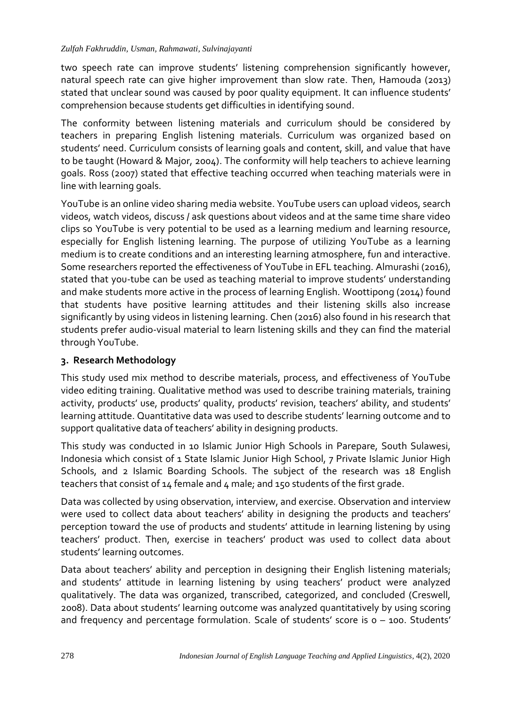two speech rate can improve students' listening comprehension significantly however, natural speech rate can give higher improvement than slow rate. Then, Hamouda (2013) stated that unclear sound was caused by poor quality equipment. It can influence students' comprehension because students get difficulties in identifying sound.

The conformity between listening materials and curriculum should be considered by teachers in preparing English listening materials. Curriculum was organized based on students' need. Curriculum consists of learning goals and content, skill, and value that have to be taught (Howard & Major, 2004). The conformity will help teachers to achieve learning goals. Ross (2007) stated that effective teaching occurred when teaching materials were in line with learning goals.

YouTube is an online video sharing media website. YouTube users can upload videos, search videos, watch videos, discuss / ask questions about videos and at the same time share video clips so YouTube is very potential to be used as a learning medium and learning resource, especially for English listening learning. The purpose of utilizing YouTube as a learning medium is to create conditions and an interesting learning atmosphere, fun and interactive. Some researchers reported the effectiveness of YouTube in EFL teaching. Almurashi (2016), stated that you-tube can be used as teaching material to improve students' understanding and make students more active in the process of learning English. Woottipong (2014) found that students have positive learning attitudes and their listening skills also increase significantly by using videos in listening learning. Chen (2016) also found in his research that students prefer audio-visual material to learn listening skills and they can find the material through YouTube.

# **3. Research Methodology**

This study used mix method to describe materials, process, and effectiveness of YouTube video editing training. Qualitative method was used to describe training materials, training activity, products' use, products' quality, products' revision, teachers' ability, and students' learning attitude. Quantitative data was used to describe students' learning outcome and to support qualitative data of teachers' ability in designing products.

This study was conducted in 10 Islamic Junior High Schools in Parepare, South Sulawesi, Indonesia which consist of 1 State Islamic Junior High School, 7 Private Islamic Junior High Schools, and 2 Islamic Boarding Schools. The subject of the research was 18 English teachers that consist of 14 female and 4 male; and 150 students of the first grade.

Data was collected by using observation, interview, and exercise. Observation and interview were used to collect data about teachers' ability in designing the products and teachers' perception toward the use of products and students' attitude in learning listening by using teachers' product. Then, exercise in teachers' product was used to collect data about students' learning outcomes.

Data about teachers' ability and perception in designing their English listening materials; and students' attitude in learning listening by using teachers' product were analyzed qualitatively. The data was organized, transcribed, categorized, and concluded (Creswell, 2008). Data about students' learning outcome was analyzed quantitatively by using scoring and frequency and percentage formulation. Scale of students' score is 0 – 100. Students'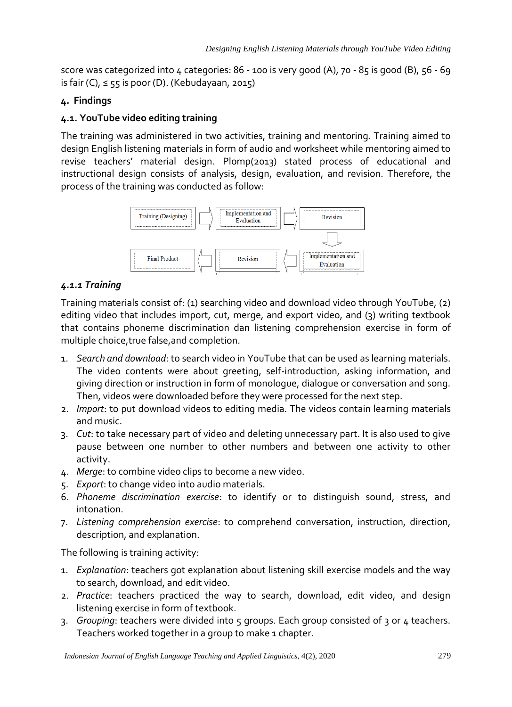score was categorized into  $4$  categories: 86 - 100 is very good (A), 70 - 85 is good (B), 56 - 69 is fair (C),  $\leq$  55 is poor (D). (Kebudayaan, 2015)

# **4. Findings**

# **4.1. YouTube video editing training**

The training was administered in two activities, training and mentoring. Training aimed to design English listening materials in form of audio and worksheet while mentoring aimed to revise teachers' material design. Plomp(2013) stated process of educational and instructional design consists of analysis, design, evaluation, and revision. Therefore, the process of the training was conducted as follow:



# *4.1.1 Training*

Training materials consist of: (1) searching video and download video through YouTube, (2) editing video that includes import, cut, merge, and export video, and (3) writing textbook that contains phoneme discrimination dan listening comprehension exercise in form of multiple choice,true false,and completion.

- 1. *Search and download*: to search video in YouTube that can be used as learning materials. The video contents were about greeting, self-introduction, asking information, and giving direction or instruction in form of monologue, dialogue or conversation and song. Then, videos were downloaded before they were processed for the next step.
- 2. *Import*: to put download videos to editing media. The videos contain learning materials and music.
- 3. *Cut*: to take necessary part of video and deleting unnecessary part. It is also used to give pause between one number to other numbers and between one activity to other activity.
- 4. *Merge*: to combine video clips to become a new video.
- 5. *Export*: to change video into audio materials.
- 6. *Phoneme discrimination exercise*: to identify or to distinguish sound, stress, and intonation.
- 7. *Listening comprehension exercise*: to comprehend conversation, instruction, direction, description, and explanation.

The following is training activity:

- 1. *Explanation*: teachers got explanation about listening skill exercise models and the way to search, download, and edit video.
- 2. *Practice*: teachers practiced the way to search, download, edit video, and design listening exercise in form of textbook.
- 3. *Grouping*: teachers were divided into 5 groups. Each group consisted of 3 or 4 teachers. Teachers worked together in a group to make 1 chapter.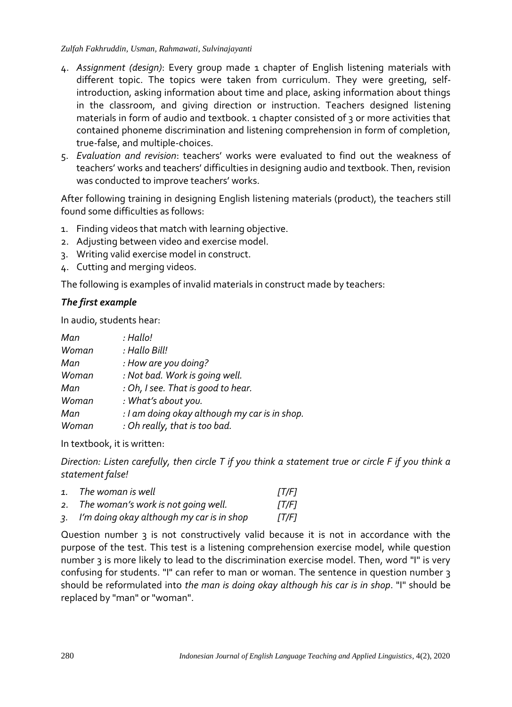#### *Zulfah Fakhruddin, Usman, Rahmawati, Sulvinajayanti*

- 4. *Assignment (design)*: Every group made 1 chapter of English listening materials with different topic. The topics were taken from curriculum. They were greeting, selfintroduction, asking information about time and place, asking information about things in the classroom, and giving direction or instruction. Teachers designed listening materials in form of audio and textbook. 1 chapter consisted of 3 or more activities that contained phoneme discrimination and listening comprehension in form of completion, true-false, and multiple-choices.
- 5. *Evaluation and revision*: teachers' works were evaluated to find out the weakness of teachers' works and teachers' difficulties in designing audio and textbook. Then, revision was conducted to improve teachers' works.

After following training in designing English listening materials (product), the teachers still found some difficulties as follows:

- 1. Finding videos that match with learning objective.
- 2. Adjusting between video and exercise model.
- 3. Writing valid exercise model in construct.
- 4. Cutting and merging videos.

The following is examples of invalid materials in construct made by teachers:

## *The first example*

In audio, students hear:

| Man   | : Hallo!                                      |
|-------|-----------------------------------------------|
| Woman | : Hallo Bill!                                 |
| Man   | : How are you doing?                          |
| Woman | : Not bad. Work is going well.                |
| Man   | : Oh, I see. That is good to hear.            |
| Woman | : What's about you.                           |
| Man   | : I am doing okay although my car is in shop. |
| Woman | : Oh really, that is too bad.                 |

In textbook, it is written:

*Direction: Listen carefully, then circle T if you think a statement true or circle F if you think a statement false!*

| 1. The woman is well                         | TT/F1 |
|----------------------------------------------|-------|
| 2. The woman's work is not going well.       | TT/F1 |
| 3. I'm doing okay although my car is in shop | [T/F] |

Question number 3 is not constructively valid because it is not in accordance with the purpose of the test. This test is a listening comprehension exercise model, while question number 3 is more likely to lead to the discrimination exercise model. Then, word "I" is very confusing for students. "I" can refer to man or woman. The sentence in question number 3 should be reformulated into *the man is doing okay although his car is in shop*. "I" should be replaced by "man" or "woman".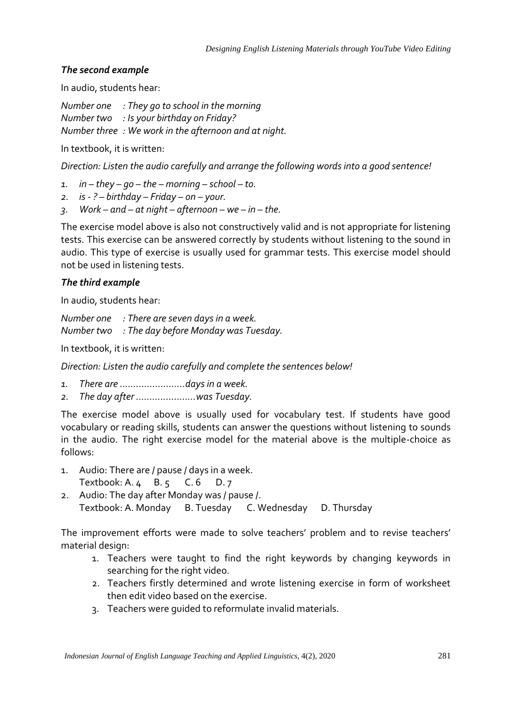#### *The second example*

In audio, students hear:

*Number one : They go to school in the morning Number two : Is your birthday on Friday? Number three : We work in the afternoon and at night.*

In textbook, it is written:

*Direction: Listen the audio carefully and arrange the following words into a good sentence!*

- $1.$  *in – they go the morning school to.*
- *2. is - ? – birthday – Friday – on – your.*
- *3. Work – and – at night – afternoon – we – in – the.*

The exercise model above is also not constructively valid and is not appropriate for listening tests. This exercise can be answered correctly by students without listening to the sound in audio. This type of exercise is usually used for grammar tests. This exercise model should not be used in listening tests.

## *The third example*

In audio, students hear:

*Number one : There are seven days in a week. Number two : The day before Monday was Tuesday.*

In textbook, it is written:

*Direction: Listen the audio carefully and complete the sentences below!*

- *1. There are ........................days in a week.*
- *2. The day after ......................was Tuesday.*

The exercise model above is usually used for vocabulary test. If students have good vocabulary or reading skills, students can answer the questions without listening to sounds in the audio. The right exercise model for the material above is the multiple-choice as follows:

- 1. Audio: There are / pause / days in a week. Textbook: A. 4 B. 5 C. 6 D. 7
- 2. Audio: The day after Monday was / pause /. Textbook: A. Monday B. Tuesday C. Wednesday D. Thursday

The improvement efforts were made to solve teachers' problem and to revise teachers' material design:

- 1. Teachers were taught to find the right keywords by changing keywords in searching for the right video.
- 2. Teachers firstly determined and wrote listening exercise in form of worksheet then edit video based on the exercise.
- 3. Teachers were guided to reformulate invalid materials.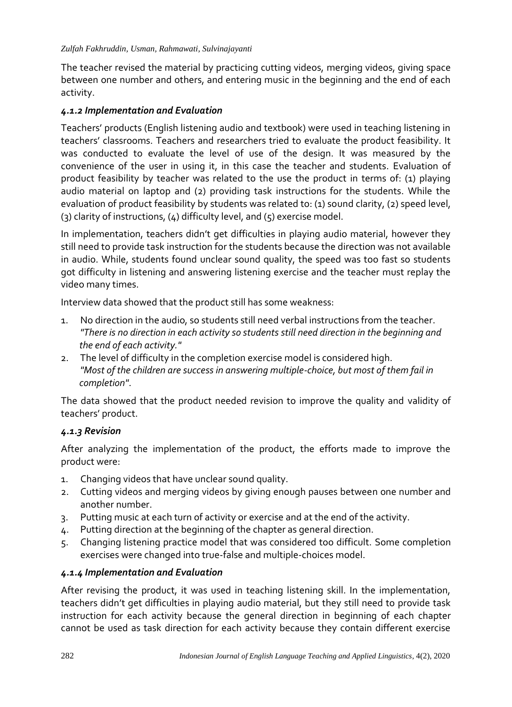The teacher revised the material by practicing cutting videos, merging videos, giving space between one number and others, and entering music in the beginning and the end of each activity.

#### *4.1.2 Implementation and Evaluation*

Teachers' products (English listening audio and textbook) were used in teaching listening in teachers' classrooms. Teachers and researchers tried to evaluate the product feasibility. It was conducted to evaluate the level of use of the design. It was measured by the convenience of the user in using it, in this case the teacher and students. Evaluation of product feasibility by teacher was related to the use the product in terms of: (1) playing audio material on laptop and (2) providing task instructions for the students. While the evaluation of product feasibility by students was related to: (1) sound clarity, (2) speed level, (3) clarity of instructions, (4) difficulty level, and (5) exercise model.

In implementation, teachers didn't get difficulties in playing audio material, however they still need to provide task instruction for the students because the direction was not available in audio. While, students found unclear sound quality, the speed was too fast so students got difficulty in listening and answering listening exercise and the teacher must replay the video many times.

Interview data showed that the product still has some weakness:

- 1. No direction in the audio, so students still need verbal instructions from the teacher. *"There is no direction in each activity so students still need direction in the beginning and the end of each activity."*
- 2. The level of difficulty in the completion exercise model is considered high. *"Most of the children are success in answering multiple-choice, but most of them fail in completion"*.

The data showed that the product needed revision to improve the quality and validity of teachers' product.

#### *4.1.3 Revision*

After analyzing the implementation of the product, the efforts made to improve the product were:

- 1. Changing videos that have unclear sound quality.
- 2. Cutting videos and merging videos by giving enough pauses between one number and another number.
- 3. Putting music at each turn of activity or exercise and at the end of the activity.
- 4. Putting direction at the beginning of the chapter as general direction.
- 5. Changing listening practice model that was considered too difficult. Some completion exercises were changed into true-false and multiple-choices model.

#### *4.1.4 Implementation and Evaluation*

After revising the product, it was used in teaching listening skill. In the implementation, teachers didn't get difficulties in playing audio material, but they still need to provide task instruction for each activity because the general direction in beginning of each chapter cannot be used as task direction for each activity because they contain different exercise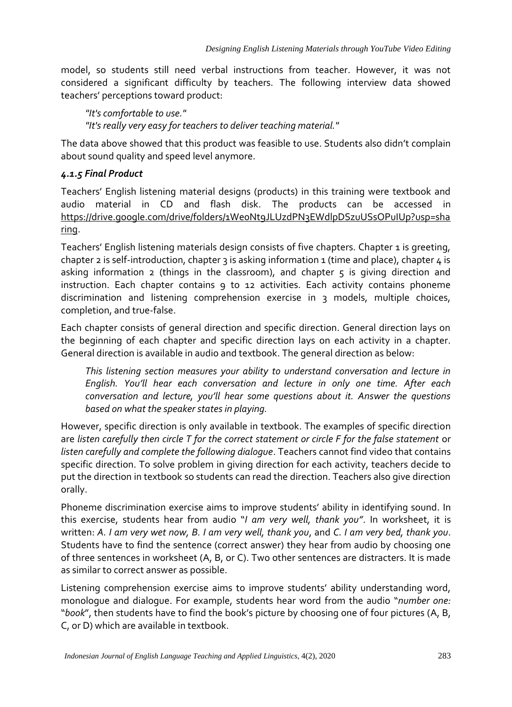model, so students still need verbal instructions from teacher. However, it was not considered a significant difficulty by teachers. The following interview data showed teachers' perceptions toward product:

*"It's comfortable to use." "It's really very easy for teachers to deliver teaching material."*

The data above showed that this product was feasible to use. Students also didn't complain about sound quality and speed level anymore.

# *4.1.5 Final Product*

Teachers' English listening material designs (products) in this training were textbook and audio material in CD and flash disk. The products can be accessed in [https://drive.google.com/drive/folders/1We0Nt9JLUzdPN3EWdlpDSzuUSsOPuIUp?usp=sha](https://drive.google.com/drive/folders/1We0Nt9JLUzdPN3EWdlpDSzuUSsOPuIUp?usp=sharing) [ring.](https://drive.google.com/drive/folders/1We0Nt9JLUzdPN3EWdlpDSzuUSsOPuIUp?usp=sharing)

Teachers' English listening materials design consists of five chapters. Chapter 1 is greeting, chapter 2 is self-introduction, chapter 3 is asking information 1 (time and place), chapter  $4$  is asking information 2 (things in the classroom), and chapter  $\varsigma$  is giving direction and instruction. Each chapter contains 9 to 12 activities. Each activity contains phoneme discrimination and listening comprehension exercise in 3 models, multiple choices, completion, and true-false.

Each chapter consists of general direction and specific direction. General direction lays on the beginning of each chapter and specific direction lays on each activity in a chapter. General direction is available in audio and textbook. The general direction as below:

*This listening section measures your ability to understand conversation and lecture in English. You'll hear each conversation and lecture in only one time. After each conversation and lecture, you'll hear some questions about it. Answer the questions based on what the speaker states in playing.* 

However, specific direction is only available in textbook. The examples of specific direction are *listen carefully then circle T for the correct statement or circle F for the false statement* or *listen carefully and complete the following dialogue*. Teachers cannot find video that contains specific direction. To solve problem in giving direction for each activity, teachers decide to put the direction in textbook so students can read the direction. Teachers also give direction orally.

Phoneme discrimination exercise aims to improve students' ability in identifying sound. In this exercise, students hear from audio "*I am very well, thank you"*. In worksheet, it is written: *A. I am very wet now, B. I am very well, thank you*, and *C. I am very bed, thank you*. Students have to find the sentence (correct answer) they hear from audio by choosing one of three sentences in worksheet (A, B, or C). Two other sentences are distracters. It is made as similar to correct answer as possible.

Listening comprehension exercise aims to improve students' ability understanding word, monologue and dialogue. For example, students hear word from the audio "*number one:* "*book*", then students have to find the book's picture by choosing one of four pictures (A, B, C, or D) which are available in textbook.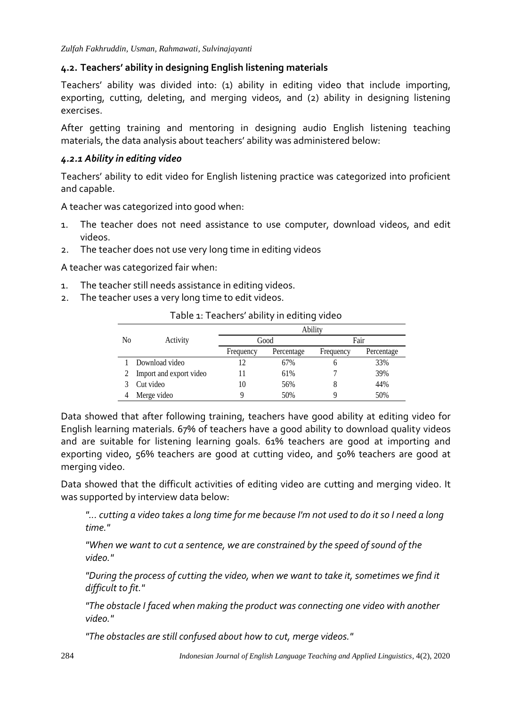#### **4.2. Teachers' ability in designing English listening materials**

Teachers' ability was divided into: (1) ability in editing video that include importing, exporting, cutting, deleting, and merging videos, and (2) ability in designing listening exercises.

After getting training and mentoring in designing audio English listening teaching materials, the data analysis about teachers' ability was administered below:

#### *4.2.1 Ability in editing video*

Teachers' ability to edit video for English listening practice was categorized into proficient and capable.

A teacher was categorized into good when:

- 1. The teacher does not need assistance to use computer, download videos, and edit videos.
- 2. The teacher does not use very long time in editing videos

A teacher was categorized fair when:

- 1. The teacher still needs assistance in editing videos.
- 2. The teacher uses a very long time to edit videos.

|                |                         | Ability   |            |           |            |  |
|----------------|-------------------------|-----------|------------|-----------|------------|--|
| N <sub>0</sub> | Activity                | Good      |            | Fair      |            |  |
|                |                         | Frequency | Percentage | Frequency | Percentage |  |
|                | Download video          | 12        | 67%        | h         | 33%        |  |
|                | Import and export video | 11        | 61%        |           | 39%        |  |
|                | Cut video               | 10        | 56%        | 8         | 44%        |  |
|                | Merge video             | q         | 50%        | Q         | 50%        |  |

Table 1: Teachers' ability in editing video

Data showed that after following training, teachers have good ability at editing video for English learning materials. 67% of teachers have a good ability to download quality videos and are suitable for listening learning goals. 61% teachers are good at importing and exporting video, 56% teachers are good at cutting video, and 50% teachers are good at merging video.

Data showed that the difficult activities of editing video are cutting and merging video. It was supported by interview data below:

*"... cutting a video takes a long time for me because I'm not used to do it so I need a long time."*

*"When we want to cut a sentence, we are constrained by the speed of sound of the video."*

*"During the process of cutting the video, when we want to take it, sometimes we find it difficult to fit."*

*"The obstacle I faced when making the product was connecting one video with another video."*

*"The obstacles are still confused about how to cut, merge videos."*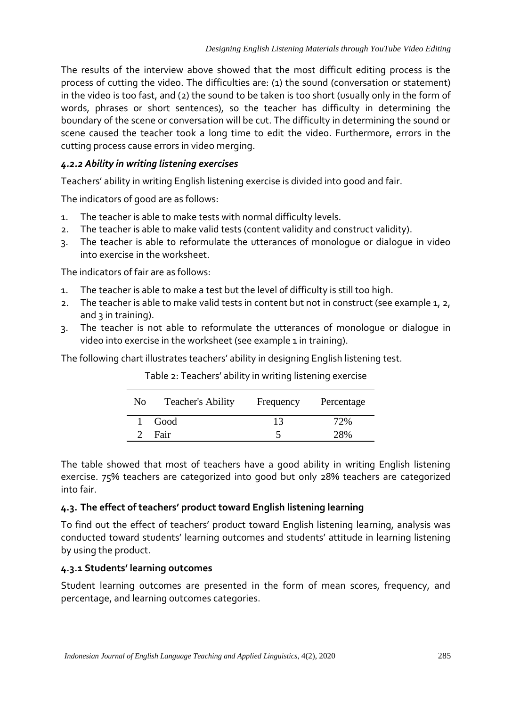The results of the interview above showed that the most difficult editing process is the process of cutting the video. The difficulties are: (1) the sound (conversation or statement) in the video is too fast, and (2) the sound to be taken is too short (usually only in the form of words, phrases or short sentences), so the teacher has difficulty in determining the boundary of the scene or conversation will be cut. The difficulty in determining the sound or scene caused the teacher took a long time to edit the video. Furthermore, errors in the cutting process cause errors in video merging.

# *4.2.2 Ability in writing listening exercises*

Teachers' ability in writing English listening exercise is divided into good and fair.

The indicators of good are as follows:

- 1. The teacher is able to make tests with normal difficulty levels.
- 2. The teacher is able to make valid tests (content validity and construct validity).
- 3. The teacher is able to reformulate the utterances of monologue or dialogue in video into exercise in the worksheet.

The indicators of fair are as follows:

- 1. The teacher is able to make a test but the level of difficulty is still too high.
- 2. The teacher is able to make valid tests in content but not in construct (see example 1, 2, and  $3$  in training).
- 3. The teacher is not able to reformulate the utterances of monologue or dialogue in video into exercise in the worksheet (see example 1 in training).

The following chart illustrates teachers' ability in designing English listening test.

| No | <b>Teacher's Ability</b> | Frequency | Percentage |
|----|--------------------------|-----------|------------|
|    | Good                     | 13        | 72%        |
|    | Fair                     |           | 28%        |

Table 2: Teachers' ability in writing listening exercise

The table showed that most of teachers have a good ability in writing English listening exercise. 75% teachers are categorized into good but only 28% teachers are categorized into fair.

## **4.3. The effect of teachers' product toward English listening learning**

To find out the effect of teachers' product toward English listening learning, analysis was conducted toward students' learning outcomes and students' attitude in learning listening by using the product.

## **4.3.1 Students' learning outcomes**

Student learning outcomes are presented in the form of mean scores, frequency, and percentage, and learning outcomes categories.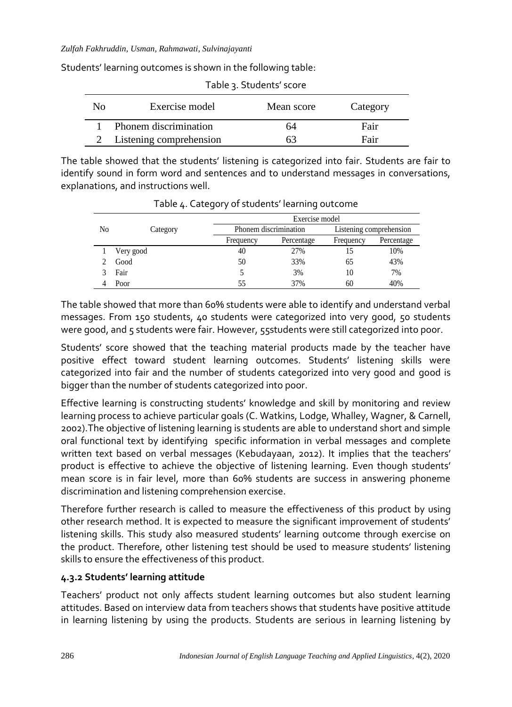Students' learning outcomes is shown in the following table:

| Table 3. Students' score |                         |            |          |  |
|--------------------------|-------------------------|------------|----------|--|
| Nο                       | Exercise model          | Mean score | Category |  |
|                          | Phonem discrimination   | 64         | Fair     |  |
|                          | Listening comprehension |            | Fair     |  |

The table showed that the students' listening is categorized into fair. Students are fair to identify sound in form word and sentences and to understand messages in conversations, explanations, and instructions well.

|    |           | Exercise model        |            |                         |            |
|----|-----------|-----------------------|------------|-------------------------|------------|
| No | Category  | Phonem discrimination |            | Listening comprehension |            |
|    |           | Frequency             | Percentage | Frequency               | Percentage |
|    | Very good | 40                    | 27%        | 15                      | 10%        |
|    | Good      | 50                    | 33%        | 65                      | 43%        |
|    | Fair      |                       | 3%         | 10                      | 7%         |
|    | Poor      | 55                    | 37%        | 60                      | 40%        |

Table 4. Category of students' learning outcome

The table showed that more than 60% students were able to identify and understand verbal messages. From 150 students, 40 students were categorized into very good, 50 students were good, and 5 students were fair. However, 55students were still categorized into poor.

Students' score showed that the teaching material products made by the teacher have positive effect toward student learning outcomes. Students' listening skills were categorized into fair and the number of students categorized into very good and good is bigger than the number of students categorized into poor.

Effective learning is constructing students' knowledge and skill by monitoring and review learning process to achieve particular goals (C. Watkins, Lodge, Whalley, Wagner, & Carnell, 2002).The objective of listening learning is students are able to understand short and simple oral functional text by identifying specific information in verbal messages and complete written text based on verbal messages (Kebudayaan, 2012). It implies that the teachers' product is effective to achieve the objective of listening learning. Even though students' mean score is in fair level, more than 60% students are success in answering phoneme discrimination and listening comprehension exercise.

Therefore further research is called to measure the effectiveness of this product by using other research method. It is expected to measure the significant improvement of students' listening skills. This study also measured students' learning outcome through exercise on the product. Therefore, other listening test should be used to measure students' listening skills to ensure the effectiveness of this product.

# **4.3.2 Students' learning attitude**

Teachers' product not only affects student learning outcomes but also student learning attitudes. Based on interview data from teachers shows that students have positive attitude in learning listening by using the products. Students are serious in learning listening by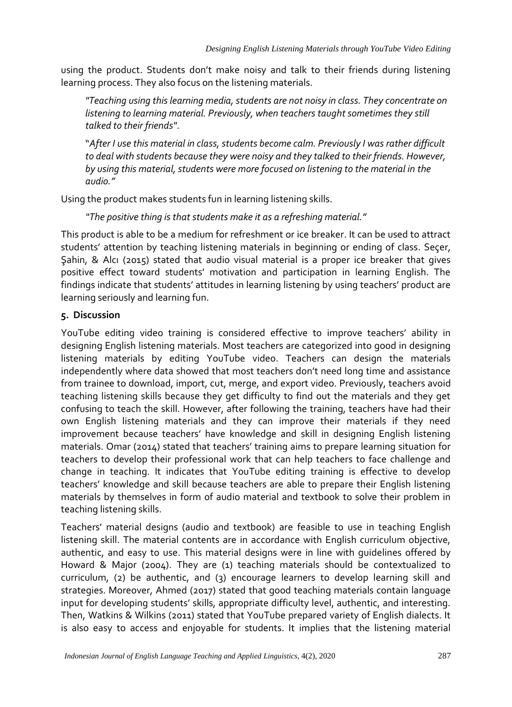using the product. Students don't make noisy and talk to their friends during listening learning process. They also focus on the listening materials.

*"Teaching using this learning media, students are not noisy in class. They concentrate on listening to learning material. Previously, when teachers taught sometimes they still talked to their friends"*.

"*After I use this material in class, students become calm. Previously I was rather difficult to deal with students because they were noisy and they talked to their friends. However, by using this material, students were more focused on listening to the material in the audio."*

Using the product makes students fun in learning listening skills.

*"The positive thing is that students make it as a refreshing material."*

This product is able to be a medium for refreshment or ice breaker. It can be used to attract students' attention by teaching listening materials in beginning or ending of class. Seçer, Şahin, & Alcı (2015) stated that audio visual material is a proper ice breaker that gives positive effect toward students' motivation and participation in learning English. The findings indicate that students' attitudes in learning listening by using teachers' product are learning seriously and learning fun.

# **5. Discussion**

YouTube editing video training is considered effective to improve teachers' ability in designing English listening materials. Most teachers are categorized into good in designing listening materials by editing YouTube video. Teachers can design the materials independently where data showed that most teachers don't need long time and assistance from trainee to download, import, cut, merge, and export video. Previously, teachers avoid teaching listening skills because they get difficulty to find out the materials and they get confusing to teach the skill. However, after following the training, teachers have had their own English listening materials and they can improve their materials if they need improvement because teachers' have knowledge and skill in designing English listening materials. Omar (2014) stated that teachers' training aims to prepare learning situation for teachers to develop their professional work that can help teachers to face challenge and change in teaching. It indicates that YouTube editing training is effective to develop teachers' knowledge and skill because teachers are able to prepare their English listening materials by themselves in form of audio material and textbook to solve their problem in teaching listening skills.

Teachers' material designs (audio and textbook) are feasible to use in teaching English listening skill. The material contents are in accordance with English curriculum objective, authentic, and easy to use. This material designs were in line with guidelines offered by Howard & Major (2004). They are (1) teaching materials should be contextualized to curriculum, (2) be authentic, and (3) encourage learners to develop learning skill and strategies. Moreover, Ahmed (2017) stated that good teaching materials contain language input for developing students' skills, appropriate difficulty level, authentic, and interesting. Then, Watkins & Wilkins (2011) stated that YouTube prepared variety of English dialects. It is also easy to access and enjoyable for students. It implies that the listening material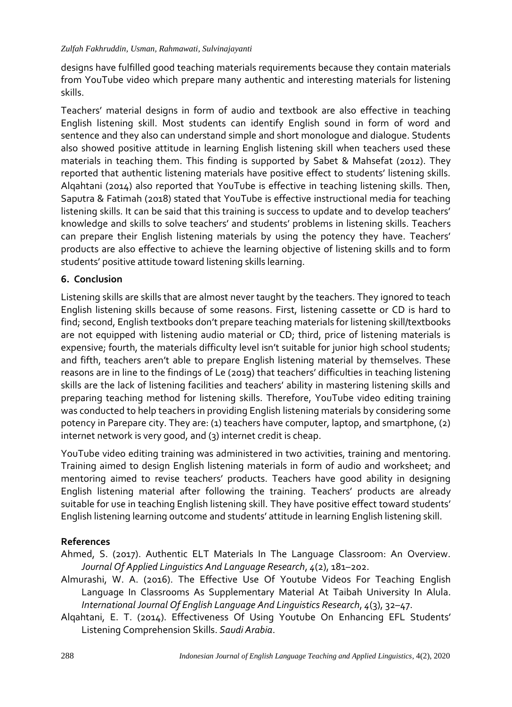designs have fulfilled good teaching materials requirements because they contain materials from YouTube video which prepare many authentic and interesting materials for listening skills.

Teachers' material designs in form of audio and textbook are also effective in teaching English listening skill. Most students can identify English sound in form of word and sentence and they also can understand simple and short monologue and dialogue. Students also showed positive attitude in learning English listening skill when teachers used these materials in teaching them. This finding is supported by Sabet & Mahsefat (2012). They reported that authentic listening materials have positive effect to students' listening skills. Alqahtani (2014) also reported that YouTube is effective in teaching listening skills. Then, Saputra & Fatimah (2018) stated that YouTube is effective instructional media for teaching listening skills. It can be said that this training is success to update and to develop teachers' knowledge and skills to solve teachers' and students' problems in listening skills. Teachers can prepare their English listening materials by using the potency they have. Teachers' products are also effective to achieve the learning objective of listening skills and to form students' positive attitude toward listening skills learning.

# **6. Conclusion**

Listening skills are skills that are almost never taught by the teachers. They ignored to teach English listening skills because of some reasons. First, listening cassette or CD is hard to find; second, English textbooks don't prepare teaching materials for listening skill/textbooks are not equipped with listening audio material or CD; third, price of listening materials is expensive; fourth, the materials difficulty level isn't suitable for junior high school students; and fifth, teachers aren't able to prepare English listening material by themselves. These reasons are in line to the findings of Le (2019) that teachers' difficulties in teaching listening skills are the lack of listening facilities and teachers' ability in mastering listening skills and preparing teaching method for listening skills. Therefore, YouTube video editing training was conducted to help teachers in providing English listening materials by considering some potency in Parepare city. They are: (1) teachers have computer, laptop, and smartphone, (2) internet network is very good, and (3) internet credit is cheap.

YouTube video editing training was administered in two activities, training and mentoring. Training aimed to design English listening materials in form of audio and worksheet; and mentoring aimed to revise teachers' products. Teachers have good ability in designing English listening material after following the training. Teachers' products are already suitable for use in teaching English listening skill. They have positive effect toward students' English listening learning outcome and students' attitude in learning English listening skill.

## **References**

Ahmed, S. (2017). Authentic ELT Materials In The Language Classroom: An Overview. *Journal Of Applied Linguistics And Language Research*, *4*(2), 181–202.

- Almurashi, W. A. (2016). The Effective Use Of Youtube Videos For Teaching English Language In Classrooms As Supplementary Material At Taibah University In Alula. *International Journal Of English Language And Linguistics Research*, *4*(3), 32–47.
- Alqahtani, E. T. (2014). Effectiveness Of Using Youtube On Enhancing EFL Students' Listening Comprehension Skills. *Saudi Arabia*.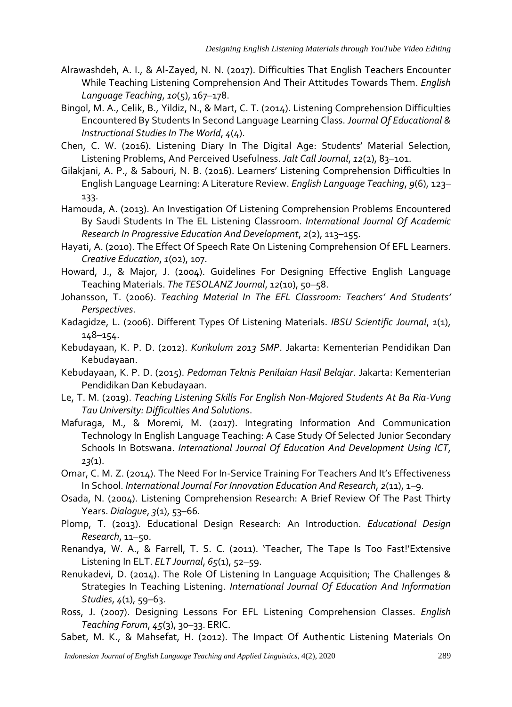- Alrawashdeh, A. I., & Al-Zayed, N. N. (2017). Difficulties That English Teachers Encounter While Teaching Listening Comprehension And Their Attitudes Towards Them. *English Language Teaching*, *10*(5), 167–178.
- Bingol, M. A., Celik, B., Yildiz, N., & Mart, C. T. (2014). Listening Comprehension Difficulties Encountered By Students In Second Language Learning Class. *Journal Of Educational & Instructional Studies In The World*, *4*(4).
- Chen, C. W. (2016). Listening Diary In The Digital Age: Students' Material Selection, Listening Problems, And Perceived Usefulness. *Jalt Call Journal*, *12*(2), 83–101.
- Gilakjani, A. P., & Sabouri, N. B. (2016). Learners' Listening Comprehension Difficulties In English Language Learning: A Literature Review. *English Language Teaching*, *9*(6), 123– 133.
- Hamouda, A. (2013). An Investigation Of Listening Comprehension Problems Encountered By Saudi Students In The EL Listening Classroom. *International Journal Of Academic Research In Progressive Education And Development*, *2*(2), 113–155.
- Hayati, A. (2010). The Effect Of Speech Rate On Listening Comprehension Of EFL Learners. *Creative Education*, *1*(02), 107.
- Howard, J., & Major, J. (2004). Guidelines For Designing Effective English Language Teaching Materials. *The TESOLANZ Journal*, *12*(10), 50–58.
- Johansson, T. (2006). *Teaching Material In The EFL Classroom: Teachers' And Students' Perspectives*.
- Kadagidze, L. (2006). Different Types Of Listening Materials. *IBSU Scientific Journal*, *1*(1), 148–154.
- Kebudayaan, K. P. D. (2012). *Kurikulum 2013 SMP*. Jakarta: Kementerian Pendidikan Dan Kebudayaan.
- Kebudayaan, K. P. D. (2015). *Pedoman Teknis Penilaian Hasil Belajar*. Jakarta: Kementerian Pendidikan Dan Kebudayaan.
- Le, T. M. (2019). *Teaching Listening Skills For English Non-Majored Students At Ba Ria-Vung Tau University: Difficulties And Solutions*.
- Mafuraga, M., & Moremi, M. (2017). Integrating Information And Communication Technology In English Language Teaching: A Case Study Of Selected Junior Secondary Schools In Botswana. *International Journal Of Education And Development Using ICT*, *13*(1).
- Omar, C. M. Z. (2014). The Need For In-Service Training For Teachers And It's Effectiveness In School. *International Journal For Innovation Education And Research*, *2*(11), 1–9.
- Osada, N. (2004). Listening Comprehension Research: A Brief Review Of The Past Thirty Years. *Dialogue*, *3*(1), 53–66.
- Plomp, T. (2013). Educational Design Research: An Introduction. *Educational Design Research*, 11–50.
- Renandya, W. A., & Farrell, T. S. C. (2011). 'Teacher, The Tape Is Too Fast!'Extensive Listening In ELT. *ELT Journal*, *65*(1), 52–59.
- Renukadevi, D. (2014). The Role Of Listening In Language Acquisition; The Challenges & Strategies In Teaching Listening. *International Journal Of Education And Information Studies*, *4*(1), 59–63.
- Ross, J. (2007). Designing Lessons For EFL Listening Comprehension Classes. *English Teaching Forum*, *45*(3), 30–33. ERIC.
- Sabet, M. K., & Mahsefat, H. (2012). The Impact Of Authentic Listening Materials On